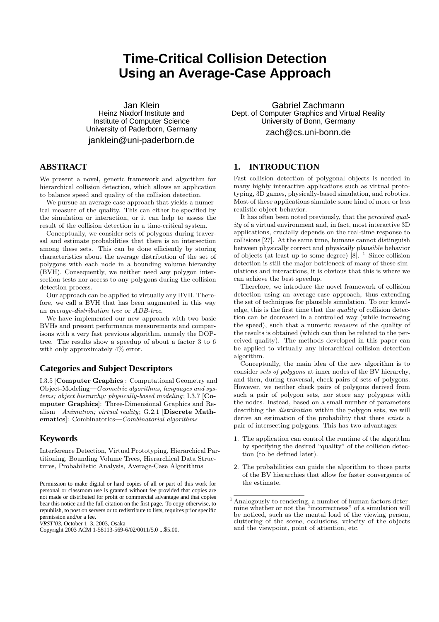# **Time-Critical Collision Detection Using an Average-Case Approach**

Jan Klein Heinz Nixdorf Institute and Institute of Computer Science University of Paderborn, Germany janklein@uni-paderborn.de

# **ABSTRACT**

We present a novel, generic framework and algorithm for hierarchical collision detection, which allows an application to balance speed and quality of the collision detection.

We pursue an average-case approach that yields a numerical measure of the quality. This can either be specified by the simulation or interaction, or it can help to assess the result of the collision detection in a time-critical system.

Conceptually, we consider sets of polygons during traversal and estimate probabilities that there is an intersection among these sets. This can be done efficiently by storing characteristics about the average distribution of the set of polygons with each node in a bounding volume hierarchy (BVH). Consequently, we neither need any polygon intersection tests nor access to any polygons during the collision detection process.

Our approach can be applied to virtually any BVH. Therefore, we call a BVH that has been augmented in this way an average-distribution tree or ADB-tree.

We have implemented our new approach with two basic BVHs and present performance measurements and comparisons with a very fast previous algorithm, namely the DOPtree. The results show a speedup of about a factor 3 to 6 with only approximately 4% error.

## **Categories and Subject Descriptors**

I.3.5 [Computer Graphics]: Computational Geometry and Object-Modeling—Geometric algorithms, languages and systems; object hierarchy; physically-based modeling;  $1.3.7$  [ $Co$ mputer Graphics]: Three-Dimensional Graphics and Realism—Animation; virtual reality; G.2.1 [Discrete Mathematics]: Combinatorics—Combinatorial algorithms

## **Keywords**

Interference Detection, Virtual Prototyping, Hierarchical Partitioning, Bounding Volume Trees, Hierarchical Data Structures, Probabilistic Analysis, Average-Case Algorithms

*VRST'03,* October 1–3, 2003, Osaka

Gabriel Zachmann Dept. of Computer Graphics and Virtual Reality University of Bonn, Germany zach@cs.uni-bonn.de

# **1. INTRODUCTION**

Fast collision detection of polygonal objects is needed in many highly interactive applications such as virtual prototyping, 3D games, physically-based simulation, and robotics. Most of these applications simulate some kind of more or less realistic object behavior.

It has often been noted previously, that the perceived quality of a virtual environment and, in fact, most interactive 3D applications, crucially depends on the real-time response to collisions [27]. At the same time, humans cannot distinguish between physically correct and physically plausible behavior of objects (at least up to some degree)  $[8]$ . <sup>1</sup> Since collision detection is still the major bottleneck of many of these simulations and interactions, it is obvious that this is where we can achieve the best speedup.

Therefore, we introduce the novel framework of collision detection using an average-case approach, thus extending the set of techniques for plausible simulation. To our knowledge, this is the first time that the quality of collision detection can be decreased in a controlled way (while increasing the speed), such that a numeric measure of the quality of the results is obtained (which can then be related to the perceived quality). The methods developed in this paper can be applied to virtually any hierarchical collision detection algorithm.

Conceptually, the main idea of the new algorithm is to consider sets of polygons at inner nodes of the BV hierarchy, and then, during traversal, check pairs of sets of polygons. However, we neither check pairs of polygons derived from such a pair of polygon sets, nor store any polygons with the nodes. Instead, based on a small number of parameters describing the distribution within the polygon sets, we will derive an estimation of the probability that there exists a pair of intersecting polygons. This has two advantages:

- 1. The application can control the runtime of the algorithm by specifying the desired "quality" of the collision detection (to be defined later).
- 2. The probabilities can guide the algorithm to those parts of the BV hierarchies that allow for faster convergence of the estimate.

Permission to make digital or hard copies of all or part of this work for personal or classroom use is granted without fee provided that copies are not made or distributed for profit or commercial advantage and that copies bear this notice and the full citation on the first page. To copy otherwise, to republish, to post on servers or to redistribute to lists, requires prior specific permission and/or a fee.

Copyright 2003 ACM 1-58113-569-6/02/0011/5.0 ...\$5.00.

 $^{\rm 1}$  Analogously to rendering, a number of human factors determine whether or not the "incorrectness" of a simulation will be noticed, such as the mental load of the viewing person, cluttering of the scene, occlusions, velocity of the objects and the viewpoint, point of attention, etc.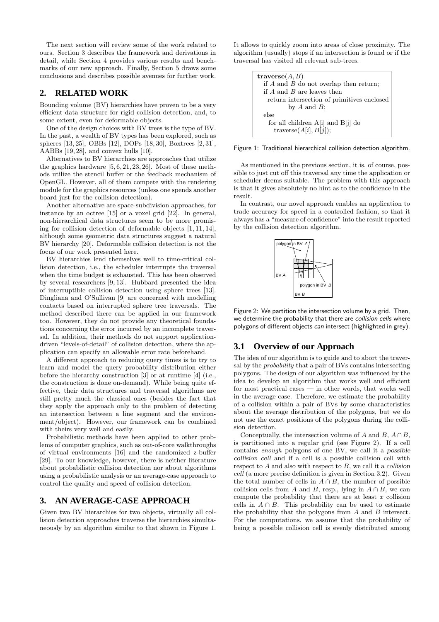The next section will review some of the work related to ours. Section 3 describes the framework and derivations in detail, while Section 4 provides various results and benchmarks of our new approach. Finally, Section 5 draws some conclusions and describes possible avenues for further work.

## **2. RELATED WORK**

Bounding volume (BV) hierarchies have proven to be a very efficient data structure for rigid collision detection, and, to some extent, even for deformable objects.

One of the design choices with BV trees is the type of BV. In the past, a wealth of BV types has been explored, such as spheres [13, 25], OBBs [12], DOPs [18, 30], Boxtrees [2, 31], AABBs [19, 28], and convex hulls [10].

Alternatives to BV hierarchies are approaches that utilize the graphics hardware [5, 6, 21, 23, 26]. Most of these methods utilize the stencil buffer or the feedback mechanism of OpenGL. However, all of them compete with the rendering module for the graphics resources (unless one spends another board just for the collision detection).

Another alternative are space-subdivision approaches, for instance by an octree [15] or a voxel grid [22]. In general, non-hierarchical data structures seem to be more promising for collision detection of deformable objects [1, 11, 14], although some geometric data structures suggest a natural BV hierarchy [20]. Deformable collision detection is not the focus of our work presented here.

BV hierarchies lend themselves well to time-critical collision detection, i.e., the scheduler interrupts the traversal when the time budget is exhausted. This has been observed by several researchers [9, 13]. Hubbard presented the idea of interruptible collision detection using sphere trees [13]. Dingliana and O'Sullivan [9] are concerned with modelling contacts based on interrupted sphere tree traversals. The method described there can be applied in our framework too. However, they do not provide any theoretical foundations concerning the error incurred by an incomplete traversal. In addition, their methods do not support applicationdriven "levels-of-detail" of collision detection, where the application can specify an allowable error rate beforehand.

A different approach to reducing query times is to try to learn and model the query probability distribution either before the hierarchy construction [3] or at runtime [4] (i.e., the construction is done on-demand). While being quite effective, their data structures and traversal algorithms are still pretty much the classical ones (besides the fact that they apply the approach only to the problem of detecting an intersection between a line segment and the environment/object). However, our framework can be combined with theirs very well and easily.

Probabilistic methods have been applied to other problems of computer graphics, such as out-of-core walkthroughs of virtual environments [16] and the randomized z-buffer [29]. To our knowledge, however, there is neither literature about probabilistic collision detection nor about algorithms using a probabilistic analysis or an average-case approach to control the quality and speed of collision detection.

## **3. AN AVERAGE-CASE APPROACH**

Given two BV hierarchies for two objects, virtually all collision detection approaches traverse the hierarchies simultaneously by an algorithm similar to that shown in Figure 1.

It allows to quickly zoom into areas of close proximity. The algorithm (usually) stops if an intersection is found or if the traversal has visited all relevant sub-trees.

| $\mathbf{traverse}(A,B)$                   |
|--------------------------------------------|
| if $A$ and $B$ do not overlap then return; |
| if $A$ and $B$ are leaves then             |
| return intersection of primitives enclosed |
| by $A$ and $B$ :                           |
| else                                       |
| for all children $A[i]$ and $B[j]$ do      |
| traverse $(A[i], B[j])$ ;                  |



As mentioned in the previous section, it is, of course, possible to just cut off this traversal any time the application or scheduler deems suitable. The problem with this approach is that it gives absolutely no hint as to the confidence in the result.

In contrast, our novel approach enables an application to trade accuracy for speed in a controlled fashion, so that it always has a "measure of confidence" into the result reported by the collision detection algorithm.





# **3.1 Overview of our Approach**

The idea of our algorithm is to guide and to abort the traversal by the probability that a pair of BVs contains intersecting polygons. The design of our algorithm was influenced by the idea to develop an algorithm that works well and efficient for most practical cases — in other words, that works well in the average case. Therefore, we estimate the probability of a collision within a pair of BVs by some characteristics about the average distribution of the polygons, but we do not use the exact positions of the polygons during the collision detection.

Conceptually, the intersection volume of A and B,  $A \cap B$ , is partitioned into a regular grid (see Figure 2). If a cell contains *enough* polygons of one BV, we call it a possible collision cell and if a cell is a possible collision cell with respect to  $A$  and also with respect to  $B$ , we call it a collision cell (a more precise definition is given in Section 3.2). Given the total number of cells in  $A \cap B$ , the number of possible collision cells from A and B, resp., lying in  $A \cap B$ , we can compute the probability that there are at least  $x$  collision cells in  $A \cap B$ . This probability can be used to estimate the probability that the polygons from  $A$  and  $B$  intersect. For the computations, we assume that the probability of being a possible collision cell is evenly distributed among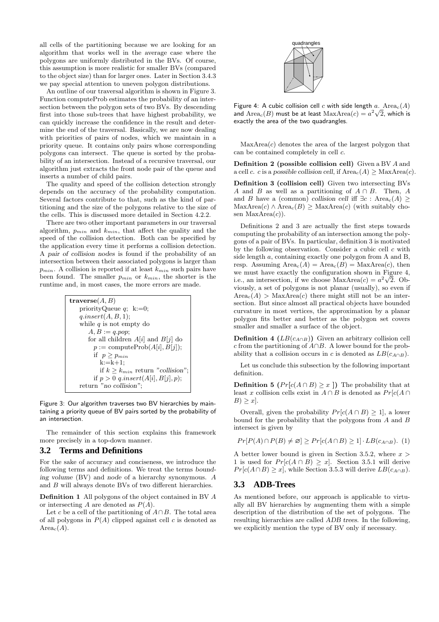all cells of the partitioning because we are looking for an algorithm that works well in the average case where the polygons are uniformly distributed in the BVs. Of course, this assumption is more realistic for smaller BVs (compared to the object size) than for larger ones. Later in Section 3.4.3 we pay special attention to uneven polygon distributions.

An outline of our traversal algorithm is shown in Figure 3. Function computeProb estimates the probability of an intersection between the polygon sets of two BVs. By descending first into those sub-trees that have highest probability, we can quickly increase the confidence in the result and determine the end of the traversal. Basically, we are now dealing with priorities of pairs of nodes, which we maintain in a priority queue. It contains only pairs whose corresponding polygons can intersect. The queue is sorted by the probability of an intersection. Instead of a recursive traversal, our algorithm just extracts the front node pair of the queue and inserts a number of child pairs.

The quality and speed of the collision detection strongly depends on the accuracy of the probability computation. Several factors contribute to that, such as the kind of partitioning and the size of the polygons relative to the size of the cells. This is discussed more detailed in Section 4.2.2.

There are two other important parameters in our traversal algorithm,  $p_{min}$  and  $k_{min}$ , that affect the quality and the speed of the collision detection. Both can be specified by the application every time it performs a collision detection. A pair of collision nodes is found if the probability of an intersection between their associated polygons is larger than  $p_{min}$ . A collision is reported if at least  $k_{min}$  such pairs have been found. The smaller  $p_{min}$  or  $k_{min}$ , the shorter is the runtime and, in most cases, the more errors are made.

| traverse $(A, B)$                       |
|-----------------------------------------|
| priorityQueue q; $k:=0$ ;               |
| q.insert(A, B, 1);                      |
| while $q$ is not empty do               |
| $A, B := q.pop;$                        |
| for all children $A[i]$ and $B[j]$ do   |
| $p := \text{computeProb}(A[i], B[i])$ ; |
| if $p > p_{min}$                        |
| $k:=k+1$ ;                              |
| if $k > k_{min}$ return "collision";    |
| if $p > 0$ q.insert $(A[i], B[j], p)$ ; |
| return "no collision";                  |

Figure 3: Our algorithm traverses two BV hierarchies by maintaining a priority queue of BV pairs sorted by the probability of an intersection.

The remainder of this section explains this framework more precisely in a top-down manner.

#### **3.2 Terms and Definitions**

For the sake of accuracy and conciseness, we introduce the following terms and definitions. We treat the terms bounding volume (BV) and node of a hierarchy synonymous. A and B will always denote BVs of two different hierarchies.

Definition 1 All polygons of the object contained in BV A or intersecting A are denoted as  $P(A)$ .

Let c be a cell of the partitioning of  $A \cap B$ . The total area of all polygons in  $P(A)$  clipped against cell c is denoted as  $Area<sub>c</sub>(A).$ 



Figure 4: A cubic collision cell c with side length a.  $Area<sub>c</sub>(A)$ Figure 4: A cubic collision cell c with side length a. Area<sub>c</sub>(A)<br>and Area<sub>c</sub>(B) must be at least MaxArea(c) =  $a^2\sqrt{2}$ , which is exactly the area of the two quadrangles.

 $MaxArea(c)$  denotes the area of the largest polygon that can be contained completely in cell c.

Definition 2 (possible collision cell) Given a BV A and a cell c. c is a possible collision cell, if  $Area<sub>c</sub>(A) \ge MaxArea(c)$ .

Definition 3 (collision cell) Given two intersecting BVs A and B as well as a partitioning of  $A \cap B$ . Then, A and B have a (common) collision cell iff  $\exists c : \text{Area}_{c}(A)$  $MaxArea(c) \wedge Area_c(B) \ge MaxArea(c)$  (with suitably chosen  $MaxArea(c)$ .

Definitions 2 and 3 are actually the first steps towards computing the probability of an intersection among the polygons of a pair of BVs. In particular, definition 3 is motivated by the following observation. Consider a cubic cell  $c$  with side length a, containing exactly one polygon from A and B, resp. Assuming  $Area<sub>c</sub>(A) = Area<sub>c</sub>(B) = MaxArea(c)$ , then we must have exactly the configuration shown in Figure 4,<br>i.e., on intersection, if we choose  ${\rm MaxArea}(\alpha) = \alpha^2 \sqrt{2}$ . Ob i.e., an intersection, if we choose  $MaxArea(c) = a^2\sqrt{2}$ . Obviously, a set of polygons is not planar (usually), so even if  $Area<sub>c</sub>(A)$  > MaxArea(c) there might still not be an intersection. But since almost all practical objects have bounded curvature in most vertices, the approximation by a planar polygon fits better and better as the polygon set covers smaller and smaller a surface of the object.

**Definition 4** ( $LB(c_{A\cap B})$ ) Given an arbitrary collision cell c from the partitioning of  $A \cap B$ . A lower bound for the probability that a collision occurs in c is denoted as  $LB(c_{A\cap B})$ .

Let us conclude this subsection by the following important definition.

**Definition 5** ( $Pr[c(A \cap B) \geq x]$ ) The probability that at least x collision cells exist in  $A \cap B$  is denoted as  $Pr[c(A \cap B)]$  $B) \geq x$ .

Overall, given the probability  $Pr[c(A \cap B) \geq 1]$ , a lower bound for the probability that the polygons from A and B intersect is given by

$$
Pr[P(A) \cap P(B) \neq \emptyset] \geq Pr[c(A \cap B) \geq 1] \cdot LB(c_{A \cap B}). \tag{1}
$$

A better lower bound is given in Section 3.5.2, where  $x >$ 1 is used for  $Pr[c(A \cap B) \geq x]$ . Section 3.5.1 will derive  $Pr[c(A \cap B) \geq x]$ , while Section 3.5.3 will derive  $LB(c_{A \cap B})$ .

## **3.3 ADB-Trees**

As mentioned before, our approach is applicable to virtually all BV hierarchies by augmenting them with a simple description of the distribution of the set of polygons. The resulting hierarchies are called ADB trees. In the following, we explicitly mention the type of BV only if necessary.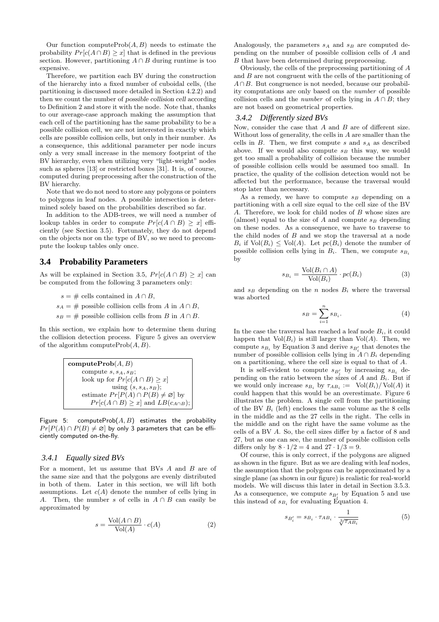Our function compute  $Prob(A, B)$  needs to estimate the probability  $Pr[c(A \cap B) \geq x]$  that is defined in the previous section. However, partitioning  $A \cap B$  during runtime is too expensive.

Therefore, we partition each BV during the construction of the hierarchy into a fixed number of cuboidal cells, (the partitioning is discussed more detailed in Section 4.2.2) and then we count the number of possible collision cell according to Definition 2 and store it with the node. Note that, thanks to our average-case approach making the assumption that each cell of the partitioning has the same probability to be a possible collision cell, we are not interested in exactly which cells are possible collision cells, but only in their number. As a consequence, this additional parameter per node incurs only a very small increase in the memory footprint of the BV hierarchy, even when utilizing very "light-weight" nodes such as spheres [13] or restricted boxes [31]. It is, of course, computed during preprocessing after the construction of the BV hierarchy.

Note that we do not need to store any polygons or pointers to polygons in leaf nodes. A possible intersection is determined solely based on the probabilities described so far.

In addition to the ADB-trees, we will need a number of lookup tables in order to compute  $Pr[c(A \cap B) \geq x]$  efficiently (see Section 3.5). Fortunately, they do not depend on the objects nor on the type of BV, so we need to precompute the lookup tables only once.

## **3.4 Probability Parameters**

As will be explained in Section 3.5,  $Pr[c(A \cap B) \geq x]$  can be computed from the following 3 parameters only:

- $s = #$  cells contained in  $A \cap B$ .
- $s_A = #$  possible collision cells from A in  $A \cap B$ ,
- $s_B = #$  possible collision cells from B in  $A \cap B$ .

In this section, we explain how to determine them during the collision detection process. Figure 5 gives an overview of the algorithm compute  $Prob(A, B)$ .

> compute $\textbf{Prob}(A, B)$ compute  $s, s_A, s_B$ ; look up for  $Pr[c(A \cap B) \geq x]$ using  $(s, s_A, s_B);$ estimate  $Pr[P(A) \cap P(B) \neq \emptyset]$  by  $Pr[c(A \cap B) \geq x]$  and  $LB(c_{A \cap B})$ ;

Figure 5: computeProb $(A, B)$  estimates the probability  $Pr[P(A) \cap P(B) \neq \emptyset]$  by only 3 parameters that can be efficiently computed on-the-fly.

#### *3.4.1 Equally sized BVs*

For a moment, let us assume that BVs A and B are of the same size and that the polygons are evenly distributed in both of them. Later in this section, we will lift both assumptions. Let  $c(A)$  denote the number of cells lying in A. Then, the number s of cells in  $A \cap B$  can easily be approximated by

$$
s = \frac{\text{Vol}(A \cap B)}{\text{Vol}(A)} \cdot c(A) \tag{2}
$$

Analogously, the parameters  $s_A$  and  $s_B$  are computed depending on the number of possible collision cells of A and B that have been determined during preprocessing.

Obviously, the cells of the preprocessing partitioning of A and  $B$  are not congruent with the cells of the partitioning of  $A \cap B$ . But congruence is not needed, because our probability computations are only based on the number of possible collision cells and the *number* of cells lying in  $A \cap B$ ; they are not based on geometrical properties.

#### *3.4.2 Differently sized BVs*

Now, consider the case that  $A$  and  $B$  are of different size. Without loss of generality, the cells in A are smaller than the cells in  $B$ . Then, we first compute s and  $s_A$  as described above. If we would also compute  $s_B$  this way, we would get too small a probability of collision because the number of possible collision cells would be assumed too small. In practice, the quality of the collision detection would not be affected but the performance, because the traversal would stop later than necessary.

As a remedy, we have to compute  $s_B$  depending on a partitioning with a cell size equal to the cell size of the BV A. Therefore, we look for child nodes of B whose sizes are (almost) equal to the size of A and compute  $s_B$  depending on these nodes. As a consequence, we have to traverse to the child nodes of B and we stop the traversal at a node  $B_i$  if  $Vol(B_i) \leq Vol(A)$ . Let  $pc(B_i)$  denote the number of possible collision cells lying in  $B_i$ . Then, we compute  $s_B$ . by

$$
s_{B_i} = \frac{\text{Vol}(B_i \cap A)}{\text{Vol}(B_i)} \cdot pc(B_i)
$$
 (3)

and  $s_B$  depending on the n nodes  $B_i$  where the traversal was aborted

$$
s_B = \sum_{i=1}^n s_{B_i}.\tag{4}
$$

In the case the traversal has reached a leaf node  $B_i$ , it could happen that  $Vol(B_i)$  is still larger than  $Vol(A)$ . Then, we compute  $s_{B_i}$  by Equation 3 and derive  $s_{B_i}$  that denotes the number of possible collision cells lying in  $A \cap B_i$  depending on a partitioning, where the cell size is equal to that of A.

It is self-evident to compute  $s_{B_i'}$  by increasing  $s_{B_i}$  depending on the ratio between the sizes of A and  $B_i$ . But if we would only increase  $s_{B_i}$  by  $\tau_{AB_i} := \text{Vol}(B_i) / \text{Vol}(A)$  it could happen that this would be an overestimate. Figure 6 illustrates the problem. A single cell from the partitioning of the BV  $B_i$  (left) encloses the same volume as the 8 cells in the middle and as the 27 cells in the right. The cells in the middle and on the right have the same volume as the cells of a BV A. So, the cell sizes differ by a factor of 8 and 27, but as one can see, the number of possible collision cells differs only by  $8 \cdot 1/2 = 4$  and  $27 \cdot 1/3 = 9$ .

Of course, this is only correct, if the polygons are aligned as shown in the figure. But as we are dealing with leaf nodes, the assumption that the polygons can be approximated by a single plane (as shown in our figure) is realistic for real-world models. We will discuss this later in detail in Section 3.5.3. As a consequence, we compute  $s_{B_i'}$  by Equation 5 and use this instead of  $s_{B_i}$  for evaluating Equation 4.

$$
s_{B_i'} = s_{B_i} \cdot \tau_{AB_i} \cdot \frac{1}{\sqrt[3]{\tau_{AB_i}}} \tag{5}
$$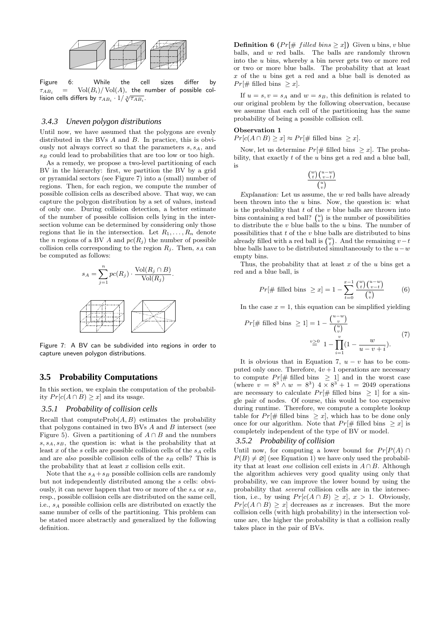

Figure 6: While the cell sizes differ by  $\tau_{AB_i}$  =  $\text{Vol}(B_i)/\text{Vol}(A)$ , the number of possible collision cells differs by  $\tau_{AB_i} \cdot 1/\sqrt[3]{\tau_{AB_i}}$ .

#### *3.4.3 Uneven polygon distributions*

Until now, we have assumed that the polygons are evenly distributed in the BVs A and B. In practice, this is obviously not always correct so that the parameters  $s, s_A$ , and  $s_B$  could lead to probabilities that are too low or too high.

As a remedy, we propose a two-level partitioning of each BV in the hierarchy: first, we partition the BV by a grid or pyramidal sectors (see Figure 7) into a (small) number of regions. Then, for each region, we compute the number of possible collision cells as described above. That way, we can capture the polygon distribution by a set of values, instead of only one. During collision detection, a better estimate of the number of possible collision cells lying in the intersection volume can be determined by considering only those regions that lie in the intersection. Let  $R_1, \ldots, R_n$  denote the *n* regions of a BV A and  $pc(R_i)$  the number of possible collision cells corresponding to the region  $R_i$ . Then,  $s_A$  can be computed as follows:



Figure 7: A BV can be subdivided into regions in order to capture uneven polygon distributions.

### **3.5 Probability Computations**

In this section, we explain the computation of the probability  $Pr[c(A \cap B) \geq x]$  and its usage.

#### *3.5.1 Probability of collision cells*

Recall that compute $Prob(A, B)$  estimates the probability that polygons contained in two BVs A and B intersect (see Figure 5). Given a partitioning of  $A \cap B$  and the numbers  $s, s<sub>A</sub>, s<sub>B</sub>$ , the question is: what is the probability that at least x of the s cells are possible collision cells of the  $s_A$  cells and are *also* possible collision cells of the  $s_B$  cells? This is the probability that at least  $x$  collision cells exit.

Note that the  $s_A + s_B$  possible collision cells are randomly but not independently distributed among the s cells: obviously, it can never happen that two or more of the  $s_A$  or  $s_B$ , resp., possible collision cells are distributed on the same cell, i.e., s<sup>A</sup> possible collision cells are distributed on exactly the same number of cells of the partitioning. This problem can be stated more abstractly and generalized by the following definition.

**Definition 6** ( $Pr[\# \text{ filled bins} \geq x]$ ) Given u bins, v blue balls, and w red balls. The balls are randomly thrown into the u bins, whereby a bin never gets two or more red or two or more blue balls. The probability that at least  $x$  of the  $u$  bins get a red and a blue ball is denoted as  $Pr[\text{\# filled bins} \geq x].$ 

If  $u = s, v = s_A$  and  $w = s_B$ , this definition is related to our original problem by the following observation, because we assume that each cell of the partitioning has the same probability of being a possible collision cell.

#### Observation 1

 $Pr[c(A \cap B) \geq x] \approx Pr[\text{\# filled bins} \geq x].$ 

Now, let us determine  $Pr[\text{\# filled bins} \geq x]$ . The probability, that exactly  $t$  of the  $u$  bins get a red and a blue ball, is

$$
\frac{\binom{w}{t}\binom{u-w}{v-t}}{\binom{u}{v}}
$$

Explanation: Let us assume, the  $w$  red balls have already been thrown into the  $u$  bins. Now, the question is: what is the probability that  $t$  of the  $v$  blue balls are thrown into bins containing a red ball?  $\binom{u}{v}$  is the number of possibilities to distribute the  $v$  blue balls to the  $u$  bins. The number of possibilities that  $t$  of the  $v$  blue balls are distributed to bins already filled with a red ball is  $\binom{w}{t}$ . And the remaining  $v-t$ blue balls have to be distributed simultaneously to the  $u-w$ empty bins.

Thus, the probability that at least  $x$  of the  $u$  bins get a red and a blue ball, is

$$
Pr[\#\text{ filled bins } \ge x] = 1 - \sum_{t=0}^{x-1} \frac{\binom{w}{t} \binom{u-w}{v-t}}{\binom{w}{v}}
$$
(6)

In the case  $x = 1$ , this equation can be simplified yielding

$$
Pr[\#\text{ filled bins } \ge 1] = 1 - \frac{\binom{u-w}{v}}{\binom{u}{v}} \tag{7}
$$

$$
\stackrel{v \ge 0}{=} 1 - \prod_{i=1}^{v} (1 - \frac{w}{u - v + i}). \tag{7}
$$

It is obvious that in Equation 7,  $u - v$  has to be computed only once. Therefore,  $4v + 1$  operations are necessary to compute  $Pr[\# \text{ filled bins} \geq 1]$  and in the worst case (where  $v = 8^3 \wedge w = 8^3$ )  $4 \times 8^3 + 1 = 2049$  operations are necessary to calculate  $Pr[\#$  filled bins  $\geq 1$  for a single pair of nodes. Of course, this would be too expensive during runtime. Therefore, we compute a complete lookup table for  $Pr[\#$  filled bins  $\geq x]$ , which has to be done only once for our algorithm. Note that  $Pr[\text{\# filled bins} \geq x]$  is completely independent of the type of BV or model.

#### *3.5.2 Probability of collision*

Until now, for computing a lower bound for  $Pr[P(A) \cap$  $P(B) \neq \emptyset$  (see Equation 1) we have only used the probability that at least *one* collision cell exists in  $A \cap B$ . Although the algorithm achieves very good quality using only that probability, we can improve the lower bound by using the probability that several collision cells are in the intersection, i.e., by using  $Pr[c(A \cap B) \geq x], x > 1$ . Obviously,  $Pr[c(A \cap B) \geq x]$  decreases as x increases. But the more collision cells (with high probability) in the intersection volume are, the higher the probability is that a collision really takes place in the pair of BVs.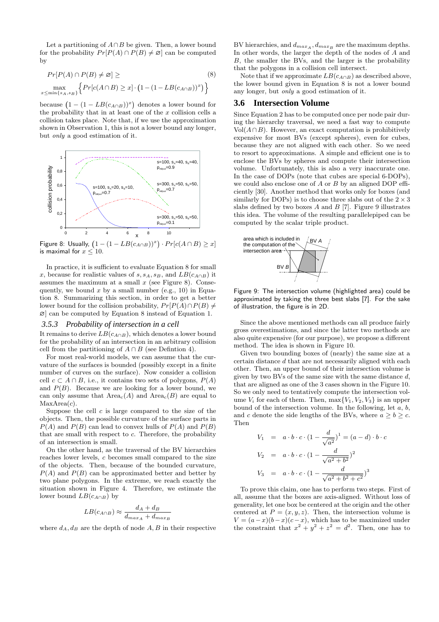Let a partitioning of  $A \cap B$  be given. Then, a lower bound for the probability  $Pr[P(A) \cap P(B) \neq \emptyset]$  can be computed by

$$
Pr[P(A) \cap P(B) \neq \emptyset] \ge \max_{x \le \min\{s_A, s_B\}} \left\{ Pr[c(A \cap B) \ge x] \cdot \left(1 - (1 - LB(c_{A \cap B}))^x\right) \right\}
$$
\n(8)

because  $(1 - (1 - LB(c_{A \cap B}))^x)$  denotes a lower bound for the probability that in at least one of the  $x$  collision cells a collision takes place. Note that, if we use the approximation shown in Observation 1, this is not a lower bound any longer, but only a good estimation of it.



Figure 8: Usually,  $(1 - (1 - LB(c_{A \cap B}))^{x}) \cdot Pr[c(A \cap B) \geq x]$ is maximal for  $x \leq 10$ .

In practice, it is sufficient to evaluate Equation 8 for small x, because for realistic values of s,  $s_A$ ,  $s_B$ , and  $LB(c_{A\cap B})$  it assumes the maximum at a small  $x$  (see Figure 8). Consequently, we bound x by a small number (e.g., 10) in Equation 8. Summarizing this section, in order to get a better lower bound for the collision probability,  $Pr[P(A) \cap P(B) \neq$  $\varnothing$  can be computed by Equation 8 instead of Equation 1.

#### *3.5.3 Probability of intersection in a cell*

It remains to derive  $LB(c_{A\cap B})$ , which denotes a lower bound for the probability of an intersection in an arbitrary collision cell from the partitioning of  $A \cap B$  (see Defintion 4).

For most real-world models, we can assume that the curvature of the surfaces is bounded (possibly except in a finite number of curves on the surface). Now consider a collision cell  $c \subset A \cap B$ , i.e., it contains two sets of polygons,  $P(A)$ and  $P(B)$ . Because we are looking for a lower bound, we can only assume that  $Area<sub>c</sub>(A)$  and  $Area<sub>c</sub>(B)$  are equal to  $MaxArea(c)$ .

Suppose the cell  $c$  is large compared to the size of the objects. Then, the possible curvature of the surface parts in  $P(A)$  and  $P(B)$  can lead to convex hulls of  $P(A)$  and  $P(B)$ that are small with respect to  $c$ . Therefore, the probability of an intersection is small.

On the other hand, as the traversal of the BV hierarchies reaches lower levels, c becomes small compared to the size of the objects. Then, because of the bounded curvature,  $P(A)$  and  $P(B)$  can be approximated better and better by two plane polygons. In the extreme, we reach exactly the situation shown in Figure 4. Therefore, we estimate the lower bound  $LB(c_{A\cap B})$  by

$$
LB(c_{A \cap B}) \approx \frac{d_A + d_B}{d_{max_A} + d_{max_B}}
$$

where  $d_A, d_B$  are the depth of node A, B in their respective

BV hierarchies, and  $d_{max_A}$ ,  $d_{max_B}$  are the maximum depths. In other words, the larger the depth of the nodes of A and B, the smaller the BVs, and the larger is the probability that the polygons in a collision cell intersect.

Note that if we approximate  $LB(c_{A\cap B})$  as described above, the lower bound given in Equation 8 is not a lower bound any longer, but only a good estimation of it.

## **3.6 Intersection Volume**

Since Equation 2 has to be computed once per node pair during the hierarchy traversal, we need a fast way to compute Vol $(A \cap B)$ . However, an exact computation is prohibitively expensive for most BVs (except spheres), even for cubes, because they are not aligned with each other. So we need to resort to approximations. A simple and efficient one is to enclose the BVs by spheres and compute their intersection volume. Unfortunately, this is also a very inaccurate one. In the case of DOPs (note that cubes are special 6-DOPs), we could also enclose one of  $A$  or  $B$  by an aligned DOP efficiently [30]. Another method that works only for boxes (and similarly for DOPs) is to choose three slabs out of the  $2 \times 3$ slabs defined by two boxes  $A$  and  $B$  [7]. Figure 9 illustrates this idea. The volume of the resulting parallelepiped can be computed by the scalar triple product.



Figure 9: The intersection volume (highlighted area) could be approximated by taking the three best slabs [7]. For the sake of illustration, the figure is in 2D.

Since the above mentioned methods can all produce fairly gross overestimations, and since the latter two methods are also quite expensive (for our purpose), we propose a different method. The idea is shown in Figure 10.

Given two bounding boxes of (nearly) the same size at a certain distance  $d$  that are not necessarily aligned with each other. Then, an upper bound of their intersection volume is given by two BVs of the same size with the same distance  $d$ , that are aligned as one of the 3 cases shown in the Figure 10. So we only need to tentatively compute the intersection volume  $V_i$  for each of them. Then,  $\max\{V_1, V_2, V_3\}$  is an upper bound of the intersection volume. In the following, let  $a, b$ , and c denote the side lengths of the BVs, where  $a \geq b \geq c$ . Then

$$
V_1 = a \cdot b \cdot c \cdot (1 - \frac{d}{\sqrt{a^2}})^1 = (a - d) \cdot b \cdot c
$$
  
\n
$$
V_2 = a \cdot b \cdot c \cdot (1 - \frac{d}{\sqrt{a^2 + b^2}})^2
$$
  
\n
$$
V_3 = a \cdot b \cdot c \cdot (1 - \frac{d}{\sqrt{a^2 + b^2 + c^2}})^3
$$

To prove this claim, one has to perform two steps. First of all, assume that the boxes are axis-aligned. Without loss of generality, let one box be centered at the origin and the other centered at  $P = (x, y, z)$ . Then, the intersection volume is  $V = (a-x)(b-x)(c-x)$ , which has to be maximized under the constraint that  $x^2 + y^2 + z^2 = d^2$ . Then, one has to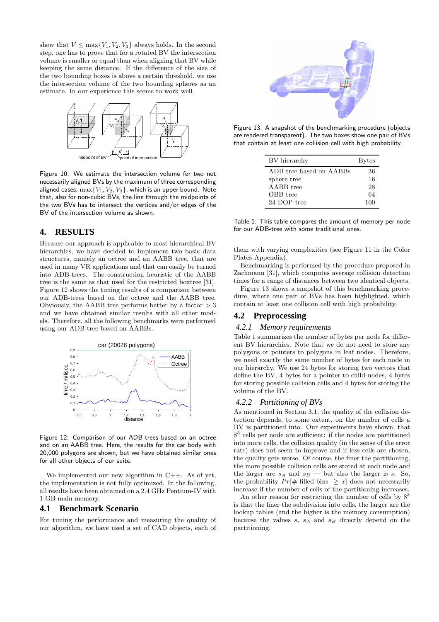show that  $V \le \max\{V_1, V_2, V_3\}$  always holds. In the second step, one has to prove that for a rotated BV the intersection volume is smaller or equal than when aligning that BV while keeping the same distance. If the difference of the size of the two bounding boxes is above a certain threshold, we use the intersection volume of the two bounding spheres as an estimate. In our experience this seems to work well.



Figure 10: We estimate the intersection volume for two not necessarily aligned BVs by the maximum of three corresponding aligned cases,  $\max\{V_1, V_2, V_3\}$ , which is an upper bound. Note that, also for non-cubic BVs, the line through the midpoints of the two BVs has to intersect the vertices and/or edges of the BV of the intersection volume as shown.

## **4. RESULTS**

Because our approach is applicable to most hierarchical BV hierarchies, we have decided to implement two basic data structures, namely an octree and an AABB tree, that are used in many VR applications and that can easily be turned into ADB-trees. The construction heuristic of the AABB tree is the same as that used for the restricted boxtree [31]. Figure 12 shows the timing results of a comparison between our ADB-trees based on the octree and the AABB tree. Obviously, the AABB tree performs better by a factor  $> 3$ and we have obtained similar results with all other models. Therefore, all the following benchmarks were performed using our ADB-tree based on AABBs.



Figure 12: Comparison of our ADB-trees based on an octree and on an AABB tree. Here, the results for the car body with 20,000 polygons are shown, but we have obtained similar ones for all other objects of our suite.

We implemented our new algorithm in C++. As of yet, the implementation is not fully optimized. In the following, all results have been obtained on a 2.4 GHz Pentium-IV with 1 GB main memory.

#### **4.1 Benchmark Scenario**

For timing the performance and measuring the quality of our algorithm, we have used a set of CAD objects, each of



Figure 13: A snapshot of the benchmarking procedure (objects are rendered transparent). The two boxes show one pair of BVs that contain at least one collision cell with high probability.

| BV hierarchy            | <b>Bytes</b> |
|-------------------------|--------------|
| ADB tree based on AABBs | 36           |
| sphere tree             | 16           |
| AABB tree               | 28           |
| OBB tree                | 64           |
| 24-DOP tree             | 100          |

Table 1: This table compares the amount of memory per node for our ADB-tree with some traditional ones.

them with varying complexities (see Figure 11 in the Color Plates Appendix).

Benchmarking is performed by the procedure proposed in Zachmann [31], which computes average collision detection times for a range of distances between two identical objects.

Figure 13 shows a snapshot of this benchmarking procedure, where one pair of BVs has been highlighted, which contain at least one collision cell with high probability.

## **4.2 Preprocessing**

#### *4.2.1 Memory requirements*

Table 1 summarizes the number of bytes per node for different BV hierarchies. Note that we do not need to store any polygons or pointers to polygons in leaf nodes. Therefore, we need exactly the same number of bytes for each node in our hierarchy. We use 24 bytes for storing two vectors that define the BV, 4 bytes for a pointer to child nodes, 4 bytes for storing possible collision cells and 4 bytes for storing the volume of the BV.

#### *4.2.2 Partitioning of BVs*

As mentioned in Section 3.1, the quality of the collision detection depends, to some extent, on the number of cells a BV is partitioned into. Our experiments have shown, that 8 3 cells per node are sufficient: if the nodes are partitioned into more cells, the collision quality (in the sense of the error rate) does not seem to improve and if less cells are chosen, the quality gets worse. Of course, the finer the partitioning, the more possible collision cells are stored at each node and the larger are  $s_A$  and  $s_B$  — but also the larger is s. So, the probability  $Pr[\text{\# filled bins} \geq x]$  does not necessarily increase if the number of cells of the partitioning increases.

An other reason for restricting the number of cells by  $8^3$ is that the finer the subdivision into cells, the larger are the lookup tables (and the higher is the memory consumption) because the values s,  $s_A$  and  $s_B$  directly depend on the partitioning.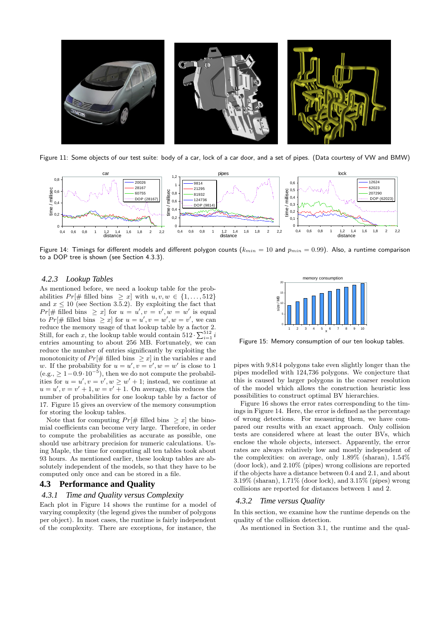

Figure 11: Some objects of our test suite: body of a car, lock of a car door, and a set of pipes. (Data courtesy of VW and BMW)



Figure 14: Timings for different models and different polygon counts ( $k_{min} = 10$  and  $p_{min} = 0.99$ ). Also, a runtime comparison to a DOP tree is shown (see Section 4.3.3).

#### *4.2.3 Lookup Tables*

As mentioned before, we need a lookup table for the probabilities  $Pr[\# \text{ filled bins} > x]$  with  $u, v, w \in \{1, ..., 512\}$ and  $x \leq 10$  (see Section 3.5.2). By exploiting the fact that  $Pr[\# \text{ filled bins} \geq x]$  for  $u = u', v = v', w = w'$  is equal to  $Pr[\# \text{ filled bins } \geq x]$  for  $u = u', v = w', w = v'$ , we can reduce the memory usage of that lookup table by a factor 2. Still, for each x, the lookup table would contain  $512 \cdot \sum_{i=1}^{512} i$ entries amounting to about 256 MB. Fortunately, we can reduce the number of entries significantly by exploiting the monotonicity of  $Pr[\#$  filled bins  $\geq x$  in the variables v and w. If the probability for  $u = u', v = v', w = w'$  is close to 1  $(e.g., \geq 1-0.9\cdot 10^{-5})$ , then we do not compute the probabilities for  $u = u', v = v', w \geq w' + 1$ ; instead, we continue at  $u = u', v = v' + 1, w = v' + 1$ . On average, this reduces the number of probabilities for one lookup table by a factor of 17. Figure 15 gives an overview of the memory consumption for storing the lookup tables.

Note that for computing  $Pr[\#$  filled bins  $\geq x$  the binomial coefficients can become very large. Therefore, in order to compute the probabilities as accurate as possible, one should use arbitrary precision for numeric calculations. Using Maple, the time for computing all ten tables took about 93 hours. As mentioned earlier, these lookup tables are absolutely independent of the models, so that they have to be computed only once and can be stored in a file.

#### **4.3 Performance and Quality**

#### *4.3.1 Time and Quality versus Complexity*

Each plot in Figure 14 shows the runtime for a model of varying complexity (the legend gives the number of polygons per object). In most cases, the runtime is fairly independent of the complexity. There are exceptions, for instance, the



Figure 15: Memory consumption of our ten lookup tables.

pipes with 9,814 polygons take even slightly longer than the pipes modelled with 124,736 polygons. We conjecture that this is caused by larger polygons in the coarser resolution of the model which allows the construction heuristic less possibilities to construct optimal BV hierarchies.

Figure 16 shows the error rates corresponding to the timings in Figure 14. Here, the error is defined as the percentage of wrong detections. For measuring them, we have compared our results with an exact approach. Only collision tests are considered where at least the outer BVs, which enclose the whole objects, intersect. Apparently, the error rates are always relatively low and mostly independent of the complexities: on average, only 1.89% (sharan), 1.54% (door lock), and 2.10% (pipes) wrong collisions are reported if the objects have a distance between 0.4 and 2.1, and about 3.19% (sharan), 1.71% (door lock), and 3.15% (pipes) wrong collisions are reported for distances between 1 and 2.

#### *4.3.2 Time versus Quality*

In this section, we examine how the runtime depends on the quality of the collision detection.

As mentioned in Section 3.1, the runtime and the qual-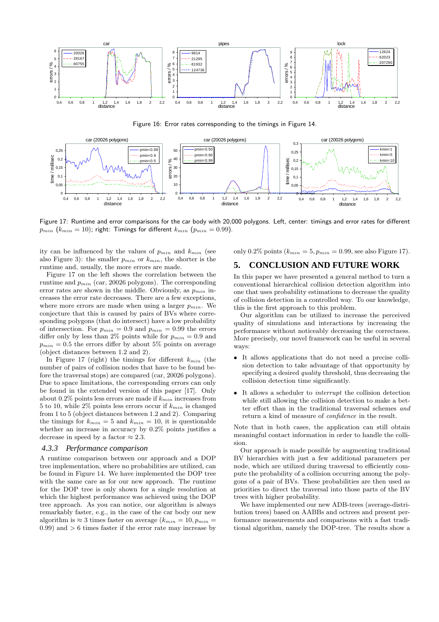

Figure 16: Error rates corresponding to the timings in Figure 14.



Figure 17: Runtime and error comparisons for the car body with 20,000 polygons. Left, center: timings and error rates for different  $p_{min}$  ( $k_{min} = 10$ ); right: Timings for different  $k_{min}$  ( $p_{min} = 0.99$ ).

ity can be influenced by the values of  $p_{min}$  and  $k_{min}$  (see also Figure 3): the smaller  $p_{min}$  or  $k_{min}$ , the shorter is the runtime and, usually, the more errors are made.

Figure 17 on the left shows the correlation between the runtime and  $p_{min}$  (car, 20026 polygons). The corresponding error rates are shown in the middle. Obviously, as  $p_{min}$  increases the error rate decreases. There are a few exceptions, where more errors are made when using a larger  $p_{min}$ . We conjecture that this is caused by pairs of BVs where corresponding polygons (that do intersect) have a low probability of intersection. For  $p_{min} = 0.9$  and  $p_{min} = 0.99$  the errors differ only by less than 2% points while for  $p_{min} = 0.9$  and  $p_{min} = 0.5$  the errors differ by about 5% points on average (object distances between 1.2 and 2).

In Figure 17 (right) the timings for different  $k_{min}$  (the number of pairs of collision nodes that have to be found before the traversal stops) are compared (car, 20026 polygons). Due to space limitations, the corresponding errors can only be found in the extended version of this paper [17]. Only about 0.2% points less errors are made if  $k_{min}$  increases from 5 to 10, while 2% points less errors occur if  $k_{min}$  is changed from 1 to 5 (object distances between 1.2 and 2). Comparing the timings for  $k_{min} = 5$  and  $k_{min} = 10$ , it is questionable whether an increase in accuracy by 0.2% points justifies a decrease in speed by a factor  $\approx 2.3$ .

#### *4.3.3 Performance comparison*

A runtime comparison between our approach and a DOP tree implementation, where no probabilities are utilized, can be found in Figure 14. We have implemented the DOP tree with the same care as for our new approach. The runtime for the DOP tree is only shown for a single resolution at which the highest performance was achieved using the DOP tree approach. As you can notice, our algorithm is always remarkably faster, e.g., in the case of the car body our new algorithm is  $\approx 3$  times faster on average  $(k_{min} = 10, p_{min} =$  $0.99$ ) and  $> 6$  times faster if the error rate may increase by only 0.2% points  $(k_{min} = 5, p_{min} = 0.99$ , see also Figure 17).

## **5. CONCLUSION AND FUTURE WORK**

In this paper we have presented a general method to turn a conventional hierarchical collision detection algorithm into one that uses probability estimations to decrease the quality of collision detection in a controlled way. To our knowledge, this is the first approach to this problem.

Our algorithm can be utilized to increase the perceived quality of simulations and interactions by increasing the performance without noticeably decreasing the correctness. More precisely, our novel framework can be useful in several ways:

- It allows applications that do not need a precise collision detection to take advantage of that opportunity by specifying a desired *quality* threshold, thus decreasing the collision detection time significantly.
- It allows a scheduler to interrupt the collision detection while still allowing the collision detection to make a better effort than in the traditional traversal schemes and return a kind of measure of confidence in the result.

Note that in both cases, the application can still obtain meaningful contact information in order to handle the collision.

Our approach is made possible by augmenting traditional BV hierarchies with just a few additional parameters per node, which are utilized during traversal to efficiently compute the probability of a collision occurring among the polygons of a pair of BVs. These probabilities are then used as priorities to direct the traversal into those parts of the BV trees with higher probability.

We have implemented our new ADB-trees (average-distribution trees) based on AABBs and octrees and present performance measurements and comparisons with a fast traditional algorithm, namely the DOP-tree. The results show a